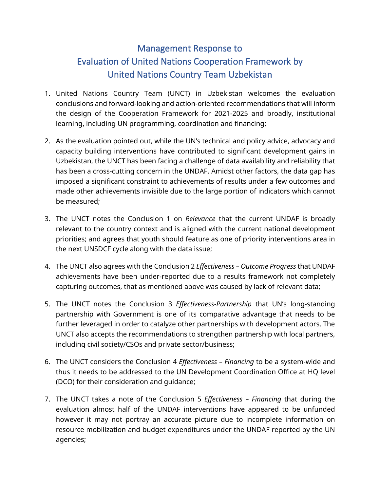## Management Response to Evaluation of United Nations Cooperation Framework by United Nations Country Team Uzbekistan

- 1. United Nations Country Team (UNCT) in Uzbekistan welcomes the evaluation conclusions and forward-looking and action-oriented recommendations that will inform the design of the Cooperation Framework for 2021-2025 and broadly, institutional learning, including UN programming, coordination and financing;
- 2. As the evaluation pointed out, while the UN's technical and policy advice, advocacy and capacity building interventions have contributed to significant development gains in Uzbekistan, the UNCT has been facing a challenge of data availability and reliability that has been a cross-cutting concern in the UNDAF. Amidst other factors, the data gap has imposed a significant constraint to achievements of results under a few outcomes and made other achievements invisible due to the large portion of indicators which cannot be measured;
- 3. The UNCT notes the Conclusion 1 on *Relevance* that the current UNDAF is broadly relevant to the country context and is aligned with the current national development priorities; and agrees that youth should feature as one of priority interventions area in the next UNSDCF cycle along with the data issue;
- 4. The UNCT also agrees with the Conclusion 2 *Effectiveness – Outcome Progress* that UNDAF achievements have been under-reported due to a results framework not completely capturing outcomes, that as mentioned above was caused by lack of relevant data;
- 5. The UNCT notes the Conclusion 3 *Effectiveness-Partnership* that UN's long-standing partnership with Government is one of its comparative advantage that needs to be further leveraged in order to catalyze other partnerships with development actors. The UNCT also accepts the recommendations to strengthen partnership with local partners, including civil society/CSOs and private sector/business;
- 6. The UNCT considers the Conclusion 4 *Effectiveness – Financing* to be a system-wide and thus it needs to be addressed to the UN Development Coordination Office at HQ level (DCO) for their consideration and guidance;
- 7. The UNCT takes a note of the Conclusion 5 *Effectiveness – Financing* that during the evaluation almost half of the UNDAF interventions have appeared to be unfunded however it may not portray an accurate picture due to incomplete information on resource mobilization and budget expenditures under the UNDAF reported by the UN agencies;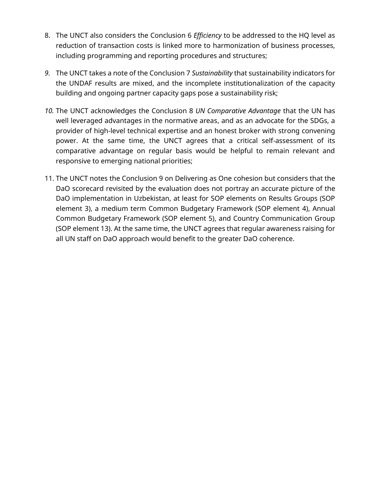- 8. The UNCT also considers the Conclusion 6 *Efficiency* to be addressed to the HQ level as reduction of transaction costs is linked more to harmonization of business processes, including programming and reporting procedures and structures;
- *9.* The UNCT takes a note of the Conclusion 7 *Sustainability* that sustainability indicators for the UNDAF results are mixed, and the incomplete institutionalization of the capacity building and ongoing partner capacity gaps pose a sustainability risk;
- *10.* The UNCT acknowledges the Conclusion 8 *UN Comparative Advantage* that the UN has well leveraged advantages in the normative areas, and as an advocate for the SDGs, a provider of high-level technical expertise and an honest broker with strong convening power. At the same time, the UNCT agrees that a critical self-assessment of its comparative advantage on regular basis would be helpful to remain relevant and responsive to emerging national priorities;
- 11. The UNCT notes the Conclusion 9 on Delivering as One cohesion but considers that the DaO scorecard revisited by the evaluation does not portray an accurate picture of the DaO implementation in Uzbekistan, at least for SOP elements on Results Groups (SOP element 3), a medium term Common Budgetary Framework (SOP element 4), Annual Common Budgetary Framework (SOP element 5), and Country Communication Group (SOP element 13). At the same time, the UNCT agrees that regular awareness raising for all UN staff on DaO approach would benefit to the greater DaO coherence.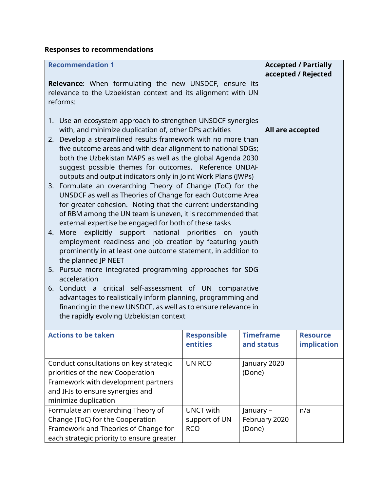## **Responses to recommendations**

| <b>Recommendation 1</b><br>Relevance: When formulating the new UNSDCF, ensure its<br>relevance to the Uzbekistan context and its alignment with UN<br>reforms:                                                                                                                                                                                                                                                                                                                                                                                                                                                                                                                                                                                                                                                                                                                                                                                                                                                                                                                                                                                                                                                                                                                                             |                                                 |                                |               | <b>Accepted / Partially</b><br>accepted / Rejected |
|------------------------------------------------------------------------------------------------------------------------------------------------------------------------------------------------------------------------------------------------------------------------------------------------------------------------------------------------------------------------------------------------------------------------------------------------------------------------------------------------------------------------------------------------------------------------------------------------------------------------------------------------------------------------------------------------------------------------------------------------------------------------------------------------------------------------------------------------------------------------------------------------------------------------------------------------------------------------------------------------------------------------------------------------------------------------------------------------------------------------------------------------------------------------------------------------------------------------------------------------------------------------------------------------------------|-------------------------------------------------|--------------------------------|---------------|----------------------------------------------------|
| 1. Use an ecosystem approach to strengthen UNSDCF synergies<br>with, and minimize duplication of, other DPs activities<br>2. Develop a streamlined results framework with no more than<br>five outcome areas and with clear alignment to national SDGs;<br>both the Uzbekistan MAPS as well as the global Agenda 2030<br>suggest possible themes for outcomes. Reference UNDAF<br>outputs and output indicators only in Joint Work Plans (JWPs)<br>3. Formulate an overarching Theory of Change (ToC) for the<br>UNSDCF as well as Theories of Change for each Outcome Area<br>for greater cohesion. Noting that the current understanding<br>of RBM among the UN team is uneven, it is recommended that<br>external expertise be engaged for both of these tasks<br>More explicitly support national priorities on<br>youth<br>4.<br>employment readiness and job creation by featuring youth<br>prominently in at least one outcome statement, in addition to<br>the planned JP NEET<br>5. Pursue more integrated programming approaches for SDG<br>acceleration<br>6. Conduct a critical self-assessment of UN comparative<br>advantages to realistically inform planning, programming and<br>financing in the new UNSDCF, as well as to ensure relevance in<br>the rapidly evolving Uzbekistan context |                                                 |                                |               | All are accepted                                   |
| <b>Actions to be taken</b>                                                                                                                                                                                                                                                                                                                                                                                                                                                                                                                                                                                                                                                                                                                                                                                                                                                                                                                                                                                                                                                                                                                                                                                                                                                                                 | <b>Responsible</b><br>entities                  | <b>Timeframe</b><br>and status |               | <b>Resource</b><br>implication                     |
| Conduct consultations on key strategic<br>priorities of the new Cooperation<br>Framework with development partners<br>and IFIs to ensure synergies and<br>minimize duplication                                                                                                                                                                                                                                                                                                                                                                                                                                                                                                                                                                                                                                                                                                                                                                                                                                                                                                                                                                                                                                                                                                                             | UN RCO                                          | (Done)                         | January 2020  |                                                    |
| Formulate an overarching Theory of<br>Change (ToC) for the Cooperation<br>Framework and Theories of Change for<br>each strategic priority to ensure greater                                                                                                                                                                                                                                                                                                                                                                                                                                                                                                                                                                                                                                                                                                                                                                                                                                                                                                                                                                                                                                                                                                                                                | <b>UNCT with</b><br>support of UN<br><b>RCO</b> | January -<br>(Done)            | February 2020 | n/a                                                |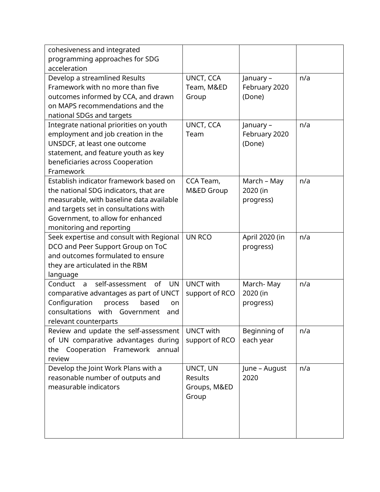| cohesiveness and integrated                     |                  |                |     |
|-------------------------------------------------|------------------|----------------|-----|
| programming approaches for SDG                  |                  |                |     |
| acceleration                                    |                  |                |     |
| Develop a streamlined Results                   | UNCT, CCA        | January -      | n/a |
| Framework with no more than five                | Team, M&ED       | February 2020  |     |
| outcomes informed by CCA, and drawn             | Group            | (Done)         |     |
| on MAPS recommendations and the                 |                  |                |     |
| national SDGs and targets                       |                  |                |     |
| Integrate national priorities on youth          | UNCT, CCA        | January -      | n/a |
| employment and job creation in the              | Team             | February 2020  |     |
| UNSDCF, at least one outcome                    |                  | (Done)         |     |
| statement, and feature youth as key             |                  |                |     |
| beneficiaries across Cooperation                |                  |                |     |
| Framework                                       |                  |                |     |
| Establish indicator framework based on          | CCA Team,        | March - May    | n/a |
| the national SDG indicators, that are           | M&ED Group       | 2020 (in       |     |
| measurable, with baseline data available        |                  | progress)      |     |
| and targets set in consultations with           |                  |                |     |
| Government, to allow for enhanced               |                  |                |     |
| monitoring and reporting                        |                  |                |     |
| Seek expertise and consult with Regional        | <b>UN RCO</b>    | April 2020 (in | n/a |
| DCO and Peer Support Group on ToC               |                  | progress)      |     |
| and outcomes formulated to ensure               |                  |                |     |
| they are articulated in the RBM                 |                  |                |     |
| language                                        |                  |                |     |
| Conduct a<br>self-assessment<br>of<br><b>UN</b> | <b>UNCT with</b> | March-May      | n/a |
| comparative advantages as part of UNCT          | support of RCO   | 2020 (in       |     |
| Configuration<br>process<br>based<br>on         |                  | progress)      |     |
| consultations with Government<br>and            |                  |                |     |
| relevant counterparts                           |                  |                |     |
| Review and update the self-assessment           | <b>UNCT with</b> | Beginning of   | n/a |
| of UN comparative advantages during             | support of RCO   | each year      |     |
| the Cooperation Framework annual                |                  |                |     |
| review                                          |                  |                |     |
| Develop the Joint Work Plans with a             | UNCT, UN         | June - August  | n/a |
| reasonable number of outputs and                | Results          | 2020           |     |
| measurable indicators                           | Groups, M&ED     |                |     |
|                                                 | Group            |                |     |
|                                                 |                  |                |     |
|                                                 |                  |                |     |
|                                                 |                  |                |     |
|                                                 |                  |                |     |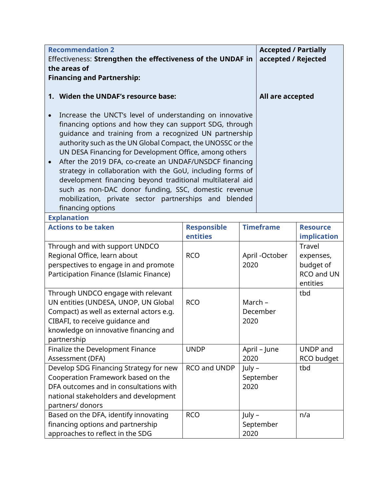| <b>Recommendation 2</b>                                                                                                                                                                                                                                                                                                                                                                                                                                                                                                                                                                                                                        |                                |                             | <b>Accepted / Partially</b> |                                                            |
|------------------------------------------------------------------------------------------------------------------------------------------------------------------------------------------------------------------------------------------------------------------------------------------------------------------------------------------------------------------------------------------------------------------------------------------------------------------------------------------------------------------------------------------------------------------------------------------------------------------------------------------------|--------------------------------|-----------------------------|-----------------------------|------------------------------------------------------------|
| Effectiveness: Strengthen the effectiveness of the UNDAF in                                                                                                                                                                                                                                                                                                                                                                                                                                                                                                                                                                                    |                                |                             | accepted / Rejected         |                                                            |
| the areas of                                                                                                                                                                                                                                                                                                                                                                                                                                                                                                                                                                                                                                   |                                |                             |                             |                                                            |
| <b>Financing and Partnership:</b>                                                                                                                                                                                                                                                                                                                                                                                                                                                                                                                                                                                                              |                                |                             |                             |                                                            |
|                                                                                                                                                                                                                                                                                                                                                                                                                                                                                                                                                                                                                                                |                                |                             |                             |                                                            |
| 1. Widen the UNDAF's resource base:                                                                                                                                                                                                                                                                                                                                                                                                                                                                                                                                                                                                            |                                |                             | All are accepted            |                                                            |
| Increase the UNCT's level of understanding on innovative<br>financing options and how they can support SDG, through<br>guidance and training from a recognized UN partnership<br>authority such as the UN Global Compact, the UNOSSC or the<br>UN DESA Financing for Development Office, among others<br>After the 2019 DFA, co-create an UNDAF/UNSDCF financing<br>$\bullet$<br>strategy in collaboration with the GoU, including forms of<br>development financing beyond traditional multilateral aid<br>such as non-DAC donor funding, SSC, domestic revenue<br>mobilization, private sector partnerships and blended<br>financing options |                                |                             |                             |                                                            |
| <b>Explanation</b>                                                                                                                                                                                                                                                                                                                                                                                                                                                                                                                                                                                                                             |                                |                             |                             |                                                            |
| <b>Actions to be taken</b>                                                                                                                                                                                                                                                                                                                                                                                                                                                                                                                                                                                                                     | <b>Responsible</b><br>entities |                             | <b>Timeframe</b>            | <b>Resource</b><br>implication                             |
| Through and with support UNDCO<br>Regional Office, learn about<br>perspectives to engage in and promote<br>Participation Finance (Islamic Finance)                                                                                                                                                                                                                                                                                                                                                                                                                                                                                             | <b>RCO</b>                     | April -October<br>2020      |                             | Travel<br>expenses,<br>budget of<br>RCO and UN<br>entities |
| Through UNDCO engage with relevant<br>UN entities (UNDESA, UNOP, UN Global<br>Compact) as well as external actors e.g.<br>CIBAFI, to receive quidance and<br>knowledge on innovative financing and<br>partnership                                                                                                                                                                                                                                                                                                                                                                                                                              | <b>RCO</b>                     | March -<br>December<br>2020 |                             | tbd                                                        |
| Finalize the Development Finance<br>Assessment (DFA)                                                                                                                                                                                                                                                                                                                                                                                                                                                                                                                                                                                           | <b>UNDP</b>                    | 2020                        | April - June                | UNDP and<br>RCO budget                                     |
| Develop SDG Financing Strategy for new<br>Cooperation Framework based on the<br>DFA outcomes and in consultations with<br>national stakeholders and development<br>partners/ donors                                                                                                                                                                                                                                                                                                                                                                                                                                                            | RCO and UNDP                   | July -<br>September<br>2020 |                             | tbd                                                        |
| Based on the DFA, identify innovating<br>financing options and partnership<br>approaches to reflect in the SDG                                                                                                                                                                                                                                                                                                                                                                                                                                                                                                                                 | <b>RCO</b>                     | July –<br>2020              | September                   | n/a                                                        |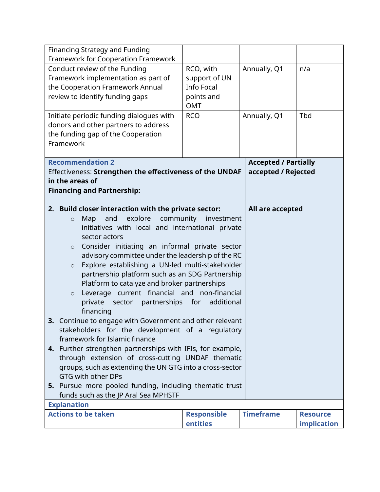| Financing Strategy and Funding                              |                    |                             |                    |  |
|-------------------------------------------------------------|--------------------|-----------------------------|--------------------|--|
| Framework for Cooperation Framework                         |                    |                             |                    |  |
| Conduct review of the Funding                               | RCO, with          | Annually, Q1                | n/a                |  |
| Framework implementation as part of                         | support of UN      |                             |                    |  |
| the Cooperation Framework Annual                            | <b>Info Focal</b>  |                             |                    |  |
| review to identify funding gaps                             | points and         |                             |                    |  |
|                                                             | <b>OMT</b>         |                             |                    |  |
| Initiate periodic funding dialogues with                    | <b>RCO</b>         | Annually, Q1                | Tbd                |  |
| donors and other partners to address                        |                    |                             |                    |  |
| the funding gap of the Cooperation                          |                    |                             |                    |  |
| Framework                                                   |                    |                             |                    |  |
|                                                             |                    |                             |                    |  |
| <b>Recommendation 2</b>                                     |                    | <b>Accepted / Partially</b> |                    |  |
| Effectiveness: Strengthen the effectiveness of the UNDAF    |                    | accepted / Rejected         |                    |  |
| in the areas of                                             |                    |                             |                    |  |
| <b>Financing and Partnership:</b>                           |                    |                             |                    |  |
|                                                             |                    |                             |                    |  |
| 2. Build closer interaction with the private sector:        |                    | All are accepted            |                    |  |
| explore community investment<br>Map<br>and<br>$\circ$       |                    |                             |                    |  |
| initiatives with local and international private            |                    |                             |                    |  |
| sector actors                                               |                    |                             |                    |  |
| Consider initiating an informal private sector<br>$\circ$   |                    |                             |                    |  |
| advisory committee under the leadership of the RC           |                    |                             |                    |  |
| Explore establishing a UN-led multi-stakeholder<br>$\circ$  |                    |                             |                    |  |
| partnership platform such as an SDG Partnership             |                    |                             |                    |  |
| Platform to catalyze and broker partnerships                |                    |                             |                    |  |
| Leverage current financial and non-financial<br>$\circ$     |                    |                             |                    |  |
| sector partnerships for<br>private                          | additional         |                             |                    |  |
| financing                                                   |                    |                             |                    |  |
| Continue to engage with Government and other relevant<br>3. |                    |                             |                    |  |
| stakeholders for the development of a regulatory            |                    |                             |                    |  |
| framework for Islamic finance                               |                    |                             |                    |  |
| 4. Further strengthen partnerships with IFIs, for example,  |                    |                             |                    |  |
| through extension of cross-cutting UNDAF thematic           |                    |                             |                    |  |
| groups, such as extending the UN GTG into a cross-sector    |                    |                             |                    |  |
| GTG with other DPs                                          |                    |                             |                    |  |
| 5. Pursue more pooled funding, including thematic trust     |                    |                             |                    |  |
| funds such as the JP Aral Sea MPHSTF                        |                    |                             |                    |  |
| <b>Explanation</b>                                          |                    |                             |                    |  |
| <b>Actions to be taken</b>                                  | <b>Responsible</b> | <b>Timeframe</b>            | <b>Resource</b>    |  |
|                                                             | entities           |                             | <b>implication</b> |  |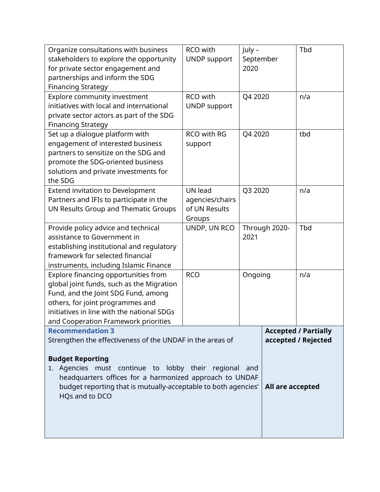| Organize consultations with business<br>stakeholders to explore the opportunity<br>for private sector engagement and<br>partnerships and inform the SDG<br><b>Financing Strategy</b>                                                               | RCO with<br><b>UNDP</b> support                              | July -<br>September<br>2020 |                  | Tbd                                                |
|----------------------------------------------------------------------------------------------------------------------------------------------------------------------------------------------------------------------------------------------------|--------------------------------------------------------------|-----------------------------|------------------|----------------------------------------------------|
| Explore community investment<br>initiatives with local and international<br>private sector actors as part of the SDG<br><b>Financing Strategy</b>                                                                                                  | RCO with<br><b>UNDP</b> support                              | Q4 2020                     |                  | n/a                                                |
| Set up a dialogue platform with<br>engagement of interested business<br>partners to sensitize on the SDG and<br>promote the SDG-oriented business<br>solutions and private investments for<br>the SDG                                              | RCO with RG<br>support                                       | Q4 2020                     |                  | tbd                                                |
| <b>Extend invitation to Development</b><br>Partners and IFIs to participate in the<br>UN Results Group and Thematic Groups                                                                                                                         | <b>UN lead</b><br>agencies/chairs<br>of UN Results<br>Groups | Q3 2020                     |                  | n/a                                                |
| Provide policy advice and technical<br>assistance to Government in<br>establishing institutional and regulatory<br>framework for selected financial<br>instruments, including Islamic Finance                                                      | UNDP, UN RCO                                                 | Through 2020-<br>2021       |                  | Tbd                                                |
| Explore financing opportunities from<br>global joint funds, such as the Migration<br>Fund, and the Joint SDG Fund, among<br>others, for joint programmes and<br>initiatives in line with the national SDGs<br>and Cooperation Framework priorities | <b>RCO</b>                                                   | Ongoing                     |                  | n/a                                                |
| <b>Recommendation 3</b><br>Strengthen the effectiveness of the UNDAF in the areas of                                                                                                                                                               |                                                              |                             |                  | <b>Accepted / Partially</b><br>accepted / Rejected |
| <b>Budget Reporting</b><br>1. Agencies must continue to lobby their regional and<br>headquarters offices for a harmonized approach to UNDAF<br>budget reporting that is mutually-acceptable to both agencies'  <br>HQs and to DCO                  |                                                              |                             | All are accepted |                                                    |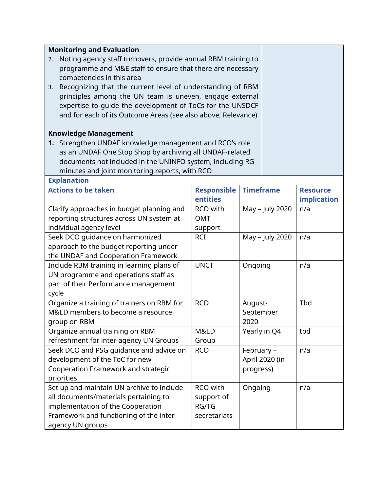| <b>Monitoring and Evaluation</b>                                    |                    |                  |                 |  |
|---------------------------------------------------------------------|--------------------|------------------|-----------------|--|
| Noting agency staff turnovers, provide annual RBM training to<br>2. |                    |                  |                 |  |
| programme and M&E staff to ensure that there are necessary          |                    |                  |                 |  |
| competencies in this area                                           |                    |                  |                 |  |
| 3. Recognizing that the current level of understanding of RBM       |                    |                  |                 |  |
| principles among the UN team is uneven, engage external             |                    |                  |                 |  |
| expertise to quide the development of ToCs for the UNSDCF           |                    |                  |                 |  |
| and for each of its Outcome Areas (see also above, Relevance)       |                    |                  |                 |  |
|                                                                     |                    |                  |                 |  |
| <b>Knowledge Management</b>                                         |                    |                  |                 |  |
| 1. Strengthen UNDAF knowledge management and RCO's role             |                    |                  |                 |  |
| as an UNDAF One Stop Shop by archiving all UNDAF-related            |                    |                  |                 |  |
| documents not included in the UNINFO system, including RG           |                    |                  |                 |  |
| minutes and joint monitoring reports, with RCO                      |                    |                  |                 |  |
| <b>Explanation</b>                                                  |                    |                  |                 |  |
| <b>Actions to be taken</b>                                          | <b>Responsible</b> | <b>Timeframe</b> | <b>Resource</b> |  |
|                                                                     | entities           |                  | implication     |  |
| Clarify approaches in budget planning and                           | RCO with           | May - July 2020  | n/a             |  |
| reporting structures across UN system at                            | <b>OMT</b>         |                  |                 |  |
| individual agency level                                             | support            |                  |                 |  |
| Seek DCO quidance on harmonized                                     | <b>RCI</b>         | May - July 2020  | n/a             |  |
| approach to the budget reporting under                              |                    |                  |                 |  |
| the UNDAF and Cooperation Framework                                 |                    |                  |                 |  |
| Include RBM training in learning plans of                           | <b>UNCT</b>        | Ongoing          | n/a             |  |
| UN programme and operations staff as                                |                    |                  |                 |  |
| part of their Performance management                                |                    |                  |                 |  |
| cycle                                                               |                    |                  |                 |  |
| Organize a training of trainers on RBM for                          | <b>RCO</b>         | August-          | <b>Tbd</b>      |  |
| M&ED members to become a resource                                   |                    | September        |                 |  |
| group on RBM                                                        |                    | 2020             |                 |  |
| Organize annual training on RBM                                     | M&ED               | Yearly in Q4     | tbd             |  |
| refreshment for inter-agency UN Groups                              | Group              |                  |                 |  |
| Seek DCO and PSG guidance and advice on                             | <b>RCO</b>         | February -       | n/a             |  |
| development of the ToC for new                                      |                    | April 2020 (in   |                 |  |
| Cooperation Framework and strategic                                 |                    | progress)        |                 |  |
| priorities                                                          |                    |                  |                 |  |

RCO with support of RG/TG secretariats Ongoing | n/a

Set up and maintain UN archive to include all documents/materials pertaining to implementation of the Cooperation Framework and functioning of the inter-

agency UN groups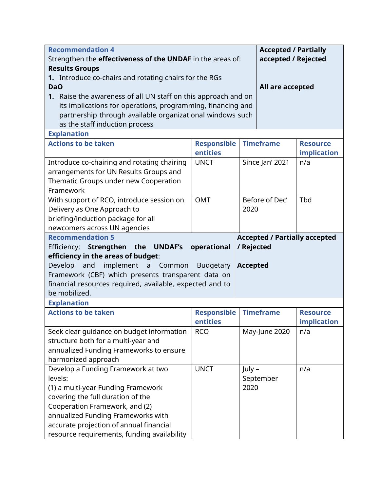| <b>Recommendation 4</b>                                           |                    |                  | <b>Accepted / Partially</b> |                                      |  |
|-------------------------------------------------------------------|--------------------|------------------|-----------------------------|--------------------------------------|--|
| Strengthen the <b>effectiveness of the UNDAF</b> in the areas of: |                    |                  | accepted / Rejected         |                                      |  |
| <b>Results Groups</b>                                             |                    |                  |                             |                                      |  |
| 1. Introduce co-chairs and rotating chairs for the RGs            |                    |                  |                             |                                      |  |
| <b>DaO</b>                                                        |                    | All are accepted |                             |                                      |  |
| 1. Raise the awareness of all UN staff on this approach and on    |                    |                  |                             |                                      |  |
| its implications for operations, programming, financing and       |                    |                  |                             |                                      |  |
| partnership through available organizational windows such         |                    |                  |                             |                                      |  |
| as the staff induction process                                    |                    |                  |                             |                                      |  |
| <b>Explanation</b>                                                |                    |                  |                             |                                      |  |
| <b>Actions to be taken</b>                                        | <b>Responsible</b> | <b>Timeframe</b> |                             | <b>Resource</b>                      |  |
|                                                                   | entities           |                  |                             | implication                          |  |
| Introduce co-chairing and rotating chairing                       | <b>UNCT</b>        |                  | Since Jan' 2021             | n/a                                  |  |
| arrangements for UN Results Groups and                            |                    |                  |                             |                                      |  |
| Thematic Groups under new Cooperation                             |                    |                  |                             |                                      |  |
| Framework                                                         |                    |                  |                             |                                      |  |
| With support of RCO, introduce session on                         | <b>OMT</b>         |                  | Before of Dec'              | Tbd                                  |  |
| Delivery as One Approach to                                       |                    | 2020             |                             |                                      |  |
| briefing/induction package for all                                |                    |                  |                             |                                      |  |
| newcomers across UN agencies                                      |                    |                  |                             |                                      |  |
| <b>Recommendation 5</b>                                           |                    |                  |                             | <b>Accepted / Partially accepted</b> |  |
| Strengthen the UNDAF's<br>operational<br>Efficiency:              |                    |                  | / Rejected                  |                                      |  |
| efficiency in the areas of budget:                                |                    |                  |                             |                                      |  |
|                                                                   |                    |                  |                             |                                      |  |
| Develop<br>and<br>implement a Common                              | <b>Budgetary</b>   | <b>Accepted</b>  |                             |                                      |  |
| Framework (CBF) which presents transparent data on                |                    |                  |                             |                                      |  |
| financial resources required, available, expected and to          |                    |                  |                             |                                      |  |
| be mobilized.                                                     |                    |                  |                             |                                      |  |
| <b>Explanation</b>                                                |                    |                  |                             |                                      |  |
| <b>Actions to be taken</b>                                        | <b>Responsible</b> |                  | <b>Timeframe</b>            | <b>Resource</b>                      |  |
|                                                                   | entities           |                  |                             | <i>implication</i>                   |  |
| Seek clear guidance on budget information                         | <b>RCO</b>         |                  | May-June 2020               | n/a                                  |  |
| structure both for a multi-year and                               |                    |                  |                             |                                      |  |
| annualized Funding Frameworks to ensure                           |                    |                  |                             |                                      |  |
| harmonized approach                                               |                    |                  |                             |                                      |  |
| Develop a Funding Framework at two                                | <b>UNCT</b>        | July -           |                             | n/a                                  |  |
| levels:                                                           |                    |                  | September                   |                                      |  |
| (1) a multi-year Funding Framework                                |                    | 2020             |                             |                                      |  |
| covering the full duration of the                                 |                    |                  |                             |                                      |  |
| Cooperation Framework, and (2)                                    |                    |                  |                             |                                      |  |
| annualized Funding Frameworks with                                |                    |                  |                             |                                      |  |
| accurate projection of annual financial                           |                    |                  |                             |                                      |  |